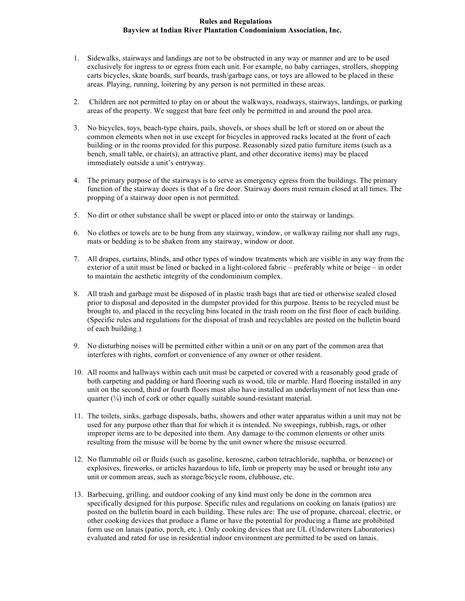## **Rules and Regulations Bayview at Indian River Plantation Condominium Association, Inc.**

- 1. Sidewalks, stairways and landings are not to be obstructed in any way or manner and are to be used exclusively for ingress to or egress from each unit. For example, no baby carriages, strollers, shopping carts bicycles, skate boards, surf boards, trash/garbage cans, or toys are allowed to be placed in these areas. Playing, running, loitering by any person is not permitted in these areas.
- 2. Children are not permitted to play on or about the walkways, roadways, stairways, landings, or parking areas of the property. We suggest that bare feet only be permitted in and around the pool area.
- 3. No bicycles, toys, beach-type chairs, pails, shovels, or shoes shall be left or stored on or about the common elements when not in use except for bicycles in approved racks located at the front of each building or in the rooms provided for this purpose. Reasonably sized patio furniture items (such as a bench, small table, or chair(s), an attractive plant, and other decorative items) may be placed immediately outside a unit's entryway.
- 4. The primary purpose of the stairways is to serve as emergency egress from the buildings. The primary function of the stairway doors is that of a fire door. Stairway doors must remain closed at all times. The propping of a stairway door open is not permitted.
- 5. No dirt or other substance shall be swept or placed into or onto the stairway or landings.
- 6. No clothes or towels are to be hung from any stairway, window, or walkway railing nor shall any rugs, mats or bedding is to be shaken from any stairway, window or door.
- 7. All drapes, curtains, blinds, and other types of window treatments which are visible in any way from the exterior of a unit must be lined or backed in a light-colored fabric – preferably white or beige – in order to maintain the aesthetic integrity of the condominium complex.
- 8. All trash and garbage must be disposed of in plastic trash bags that are tied or otherwise sealed closed prior to disposal and deposited in the dumpster provided for this purpose. Items to be recycled must be brought to, and placed in the recycling bins located in the trash room on the first floor of each building. (Specific rules and regulations for the disposal of trash and recyclables are posted on the bulletin board of each building.)
- 9. No disturbing noises will be permitted either within a unit or on any part of the common area that interferes with rights, comfort or convenience of any owner or other resident.
- 10. All rooms and hallways within each unit must be carpeted or covered with a reasonably good grade of both carpeting and padding or hard flooring such as wood, tile or marble. Hard flooring installed in any unit on the second, third or fourth floors must also have installed an underlayment of not less than onequarter  $(\frac{1}{4})$  inch of cork or other equally suitable sound-resistant material.
- 11. The toilets, sinks, garbage disposals, baths, showers and other water apparatus within a unit may not be used for any purpose other than that for which it is intended. No sweepings, rubbish, rags, or other improper items are to be deposited into them. Any damage to the common elements or other units resulting from the misuse will be borne by the unit owner where the misuse occurred.
- 12. No flammable oil or fluids (such as gasoline, kerosene, carbon tetrachloride, naphtha, or benzene) or explosives, fireworks, or articles hazardous to life, limb or property may be used or brought into any unit or common areas, such as storage/bicycle room, clubhouse, etc.
- 13. Barbecuing, grilling, and outdoor cooking of any kind must only be done in the common area specifically designed for this purpose. Specific rules and regulations on cooking on lanais (patios) are posted on the bulletin board in each building. These rules are: The use of propane, charcoal, electric, or other cooking devices that produce a flame or have the potential for producing a flame are prohibited form use on lanais (patio, porch, etc.). Only cooking devices that are UL (Underwriters Laboratories) evaluated and rated for use in residential indoor environment are permitted to be used on lanais.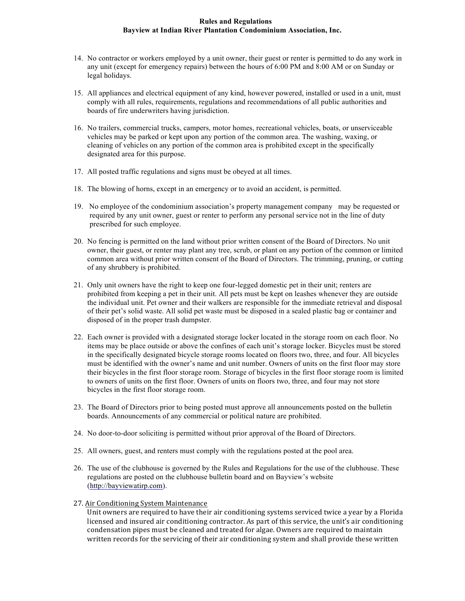# **Rules and Regulations Bayview at Indian River Plantation Condominium Association, Inc.**

- 14. No contractor or workers employed by a unit owner, their guest or renter is permitted to do any work in any unit (except for emergency repairs) between the hours of 6:00 PM and 8:00 AM or on Sunday or legal holidays.
- 15. All appliances and electrical equipment of any kind, however powered, installed or used in a unit, must comply with all rules, requirements, regulations and recommendations of all public authorities and boards of fire underwriters having jurisdiction.
- 16. No trailers, commercial trucks, campers, motor homes, recreational vehicles, boats, or unserviceable vehicles may be parked or kept upon any portion of the common area. The washing, waxing, or cleaning of vehicles on any portion of the common area is prohibited except in the specifically designated area for this purpose.
- 17. All posted traffic regulations and signs must be obeyed at all times.
- 18. The blowing of horns, except in an emergency or to avoid an accident, is permitted.
- 19. No employee of the condominium association's property management company may be requested or required by any unit owner, guest or renter to perform any personal service not in the line of duty prescribed for such employee.
- 20. No fencing is permitted on the land without prior written consent of the Board of Directors. No unit owner, their guest, or renter may plant any tree, scrub, or plant on any portion of the common or limited common area without prior written consent of the Board of Directors. The trimming, pruning, or cutting of any shrubbery is prohibited.
- 21. Only unit owners have the right to keep one four-legged domestic pet in their unit; renters are prohibited from keeping a pet in their unit. All pets must be kept on leashes whenever they are outside the individual unit. Pet owner and their walkers are responsible for the immediate retrieval and disposal of their pet's solid waste. All solid pet waste must be disposed in a sealed plastic bag or container and disposed of in the proper trash dumpster.
- 22. Each owner is provided with a designated storage locker located in the storage room on each floor. No items may be place outside or above the confines of each unit's storage locker. Bicycles must be stored in the specifically designated bicycle storage rooms located on floors two, three, and four. All bicycles must be identified with the owner's name and unit number. Owners of units on the first floor may store their bicycles in the first floor storage room. Storage of bicycles in the first floor storage room is limited to owners of units on the first floor. Owners of units on floors two, three, and four may not store bicycles in the first floor storage room.
- 23. The Board of Directors prior to being posted must approve all announcements posted on the bulletin boards. Announcements of any commercial or political nature are prohibited.
- 24. No door-to-door soliciting is permitted without prior approval of the Board of Directors.
- 25. All owners, guest, and renters must comply with the regulations posted at the pool area.
- 26. The use of the clubhouse is governed by the Rules and Regulations for the use of the clubhouse. These regulations are posted on the clubhouse bulletin board and on Bayview's website (http://bayviewatirp.com).
- 27. Air Conditioning System Maintenance

Unit owners are required to have their air conditioning systems serviced twice a year by a Florida licensed and insured air conditioning contractor. As part of this service, the unit's air conditioning condensation pipes must be cleaned and treated for algae. Owners are required to maintain written records for the servicing of their air conditioning system and shall provide these written